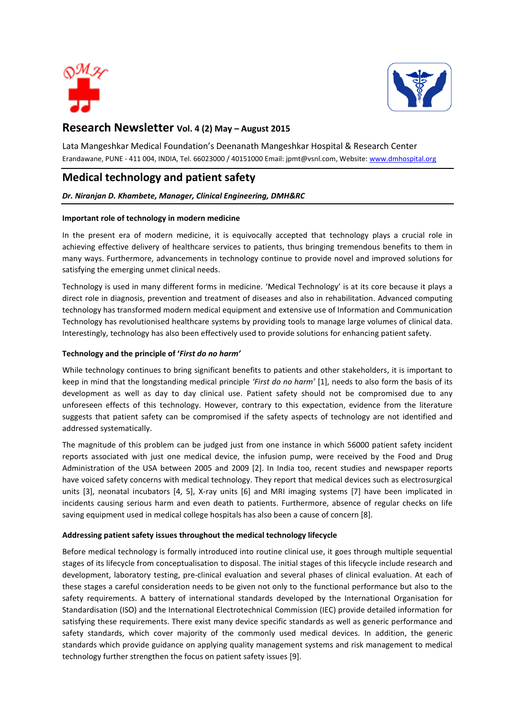



## **Research Newsletter Vol. 4 (2) May – August 2015**

Lata Mangeshkar Medical Foundation's Deenanath Mangeshkar Hospital & Research Center Erandawane, PUNE - 411 004, INDIA, Tel. 66023000 / 40151000 Email[: jpmt@vsnl.com,](mailto:jpmt@vsnl.com) Website[: www.dmhospital.org](http://www.dmhospital.org/)

# **Medical technology and patient safety**

## *Dr. Niranjan D. Khambete, Manager, Clinical Engineering, DMH&RC*

#### **Important role of technology in modern medicine**

In the present era of modern medicine, it is equivocally accepted that technology plays a crucial role in achieving effective delivery of healthcare services to patients, thus bringing tremendous benefits to them in many ways. Furthermore, advancements in technology continue to provide novel and improved solutions for satisfying the emerging unmet clinical needs.

Technology is used in many different forms in medicine. 'Medical Technology' is at its core because it plays a direct role in diagnosis, prevention and treatment of diseases and also in rehabilitation. Advanced computing technology has transformed modern medical equipment and extensive use of Information and Communication Technology has revolutionised healthcare systems by providing tools to manage large volumes of clinical data. Interestingly, technology has also been effectively used to provide solutions for enhancing patient safety.

### **Technology and the principle of '***First do no harm'*

While technology continues to bring significant benefits to patients and other stakeholders, it is important to keep in mind that the longstanding medical principle *'First do no harm'* [1], needs to also form the basis of its development as well as day to day clinical use. Patient safety should not be compromised due to any unforeseen effects of this technology. However, contrary to this expectation, evidence from the literature suggests that patient safety can be compromised if the safety aspects of technology are not identified and addressed systematically.

The magnitude of this problem can be judged just from one instance in which 56000 patient safety incident reports associated with just one medical device, the infusion pump, were received by the Food and Drug Administration of the USA between 2005 and 2009 [2]. In India too, recent studies and newspaper reports have voiced safety concerns with medical technology. They report that medical devices such as electrosurgical units [3], neonatal incubators [4, 5], X-ray units [6] and MRI imaging systems [7] have been implicated in incidents causing serious harm and even death to patients. Furthermore, absence of regular checks on life saving equipment used in medical college hospitals has also been a cause of concern [8].

## **Addressing patient safety issues throughout the medical technology lifecycle**

Before medical technology is formally introduced into routine clinical use, it goes through multiple sequential stages of its lifecycle from conceptualisation to disposal. The initial stages of this lifecycle include research and development, laboratory testing, pre-clinical evaluation and several phases of clinical evaluation. At each of these stages a careful consideration needs to be given not only to the functional performance but also to the safety requirements. A battery of international standards developed by the International Organisation for Standardisation (ISO) and the International Electrotechnical Commission (IEC) provide detailed information for satisfying these requirements. There exist many device specific standards as well as generic performance and safety standards, which cover majority of the commonly used medical devices. In addition, the generic standards which provide guidance on applying quality management systems and risk management to medical technology further strengthen the focus on patient safety issues [9].